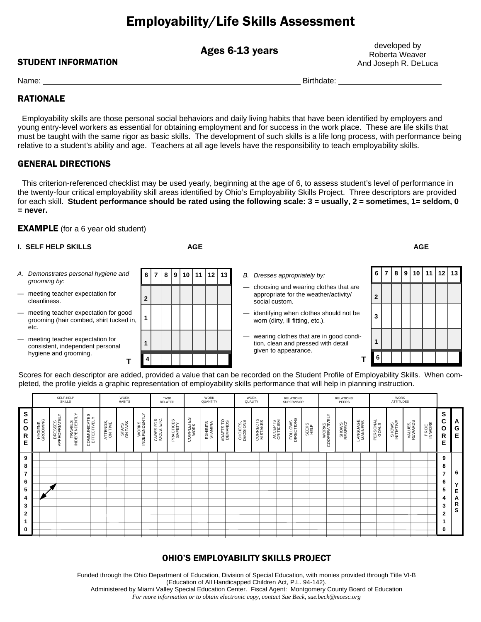# Employability/Life Skills Assessment

Ages 6-13 years

STUDENT INFORMATION

developed by Roberta Weaver And Joseph R. DeLuca

Name: Birthdate: **Birthdate:** Birthdate: **Birthdate: Birthdate: Birthdate: Birthdate: Birthdate: Birthdate: Birthdate: Birthdate: Birthdate: Birthdate: Birthdate: Birthdate: Birthdate: Birthdate:** 

### RATIONALE

 Employability skills are those personal social behaviors and daily living habits that have been identified by employers and young entry-level workers as essential for obtaining employment and for success in the work place. These are life skills that must be taught with the same rigor as basic skills. The development of such skills is a life long process, with performance being relative to a student's ability and age. Teachers at all age levels have the responsibility to teach employability skills.

### GENERAL DIRECTIONS

 This criterion-referenced checklist may be used yearly, beginning at the age of 6, to assess student's level of performance in the twenty-four critical employability skill areas identified by Ohio's Employability Skills Project. Three descriptors are provided for each skill. **Student performance should be rated using the following scale: 3 = usually, 2 = sometimes, 1= seldom, 0 = never.**

### **EXAMPLE** (for a 6 year old student)

| <b>I. SELF HELP SKILLS</b> |                                                                                           |   |                                                               |  |  |  | <b>AGE</b> |   |                                                                                                  | <b>AGE</b>     |  |  |         |      |    |  |  |
|----------------------------|-------------------------------------------------------------------------------------------|---|---------------------------------------------------------------|--|--|--|------------|---|--------------------------------------------------------------------------------------------------|----------------|--|--|---------|------|----|--|--|
|                            | A. Demonstrates personal hygiene and<br>grooming by:                                      |   | 6 7 8 9 10 <br>11   12   13  <br>B. Dresses appropriately by: |  |  |  |            | 6 |                                                                                                  | 8              |  |  | 9110111 | 12 I | 13 |  |  |
|                            | - meeting teacher expectation for<br>cleanliness.                                         |   |                                                               |  |  |  |            |   | choosing and wearing clothes that are<br>appropriate for the weather/activity/<br>social custom. | $\overline{2}$ |  |  |         |      |    |  |  |
|                            | - meeting teacher expectation for good<br>grooming (hair combed, shirt tucked in,<br>etc. |   |                                                               |  |  |  |            |   | identifying when clothes should not be<br>worn (dirty, ill fitting, etc.).                       | 3              |  |  |         |      |    |  |  |
|                            | - meeting teacher expectation for<br>consistent, independent personal                     |   |                                                               |  |  |  |            |   | wearing clothes that are in good condi-<br>tion, clean and pressed with detail                   |                |  |  |         |      |    |  |  |
|                            | hygiene and grooming.                                                                     | 4 |                                                               |  |  |  |            |   | given to appearance.                                                                             |                |  |  |         |      |    |  |  |

Scores for each descriptor are added, provided a value that can be recorded on the Student Profile of Employability Skills. When completed, the profile yields a graphic representation of employability skills performance that will help in planning instruction.

|                                  |                      | SELF-HELP<br>SKILLS      |                          |                             |                     | <b>WORK</b><br><b>HABITS</b> |                        |                          | TASK<br>RELATED     |                   | <b>WORK</b><br>QUANTITY |                      |                       | <b>WORK</b><br>QUALITY |                      | <b>RELATIONS:</b><br>SUPERVISOR |               |                        | <b>RELATIONS:</b><br>PEERS |                      |                   | WORK<br>ATTITUDES   |                    |                  |                       |                  |
|----------------------------------|----------------------|--------------------------|--------------------------|-----------------------------|---------------------|------------------------------|------------------------|--------------------------|---------------------|-------------------|-------------------------|----------------------|-----------------------|------------------------|----------------------|---------------------------------|---------------|------------------------|----------------------------|----------------------|-------------------|---------------------|--------------------|------------------|-----------------------|------------------|
| S<br>C<br>$\mathbf{o}$<br>R<br>Е | HYGIENE,<br>GROOMING | DRESSES<br>APPROPRIATELY | TRAVELS<br>INDEPENDENTLY | COMMUNICATES<br>EFFECTIVELY | ATTENDS,<br>ON TIME | STAYS<br>ON TASK             | WORKS<br>INDEPENDENTLY | CARES FOR<br>TOOLS, ETC. | PRACTICES<br>SAFETY | COMPLETES<br>WORK | EXHIBITS<br>STAMINA     | ADAPTS TO<br>DEMANDS | CHOICES,<br>DECISIONS | CORRECTS<br>MISTAKES   | ACCEPTS<br>CRITICISM | FOLLOWS<br>DIRECTIONS           | SEEKS<br>HELP | WORKS<br>COOPERATIVELY | SHOWS<br>RESPECT           | LANGUAGE,<br>MANNERS | PERSONAL<br>GOALS | SHOWS<br>INITIATIVE | VALUES,<br>REWARDS | PRIDE<br>IN WORK | S<br>С<br>Ο<br>R<br>Е | A<br>G<br>Е      |
| 9<br>8<br>$\overline{7}$<br>6    |                      |                          |                          |                             |                     |                              |                        |                          |                     |                   |                         |                      |                       |                        |                      |                                 |               |                        |                            |                      |                   |                     |                    |                  | 9<br>8<br>7<br>6      | 6                |
| 5<br>4<br>3<br>$\mathbf{2}$      |                      |                          |                          |                             |                     |                              |                        |                          |                     |                   |                         |                      |                       |                        |                      |                                 |               |                        |                            |                      |                   |                     |                    |                  | 5<br>4<br>3<br>2      | Е<br>А<br>R<br>s |
| $\mathbf 1$<br>0                 |                      |                          |                          |                             |                     |                              |                        |                          |                     |                   |                         |                      |                       |                        |                      |                                 |               |                        |                            |                      |                   |                     |                    |                  | $\bf{0}$              |                  |

### OHIO'S EMPLOYABILITY SKILLS PROJECT

Funded through the Ohio Department of Education, Division of Special Education, with monies provided through Title VI-B (Education of All Handicapped Children Act, P.L. 94-142). Administered by Miami Valley Special Education Center. Fiscal Agent: Montgomery County Board of Education

*For more information or to obtain electronic copy, contact Sue Beck, sue.beck@mcesc.org For more information or to obtain electronic copy, contact Sue Beck, sue.beck@mcesc.org*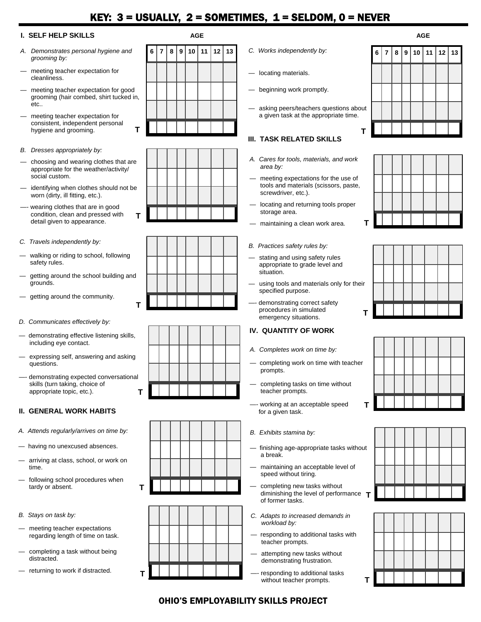# KEY:  $3 =$  USUALLY,  $2 =$  SOMETIMES,  $1 =$  SELDOM,  $0 =$  NEVER

#### **I. SELF HELP SKILLS AGE AGE**

- *A. Demonstrates personal hygiene and grooming by:*
- meeting teacher expectation for cleanliness.
- meeting teacher expectation for good grooming (hair combed, shirt tucked in, etc..
- meeting teacher expectation for consistent, independent personal hygiene and grooming.
- *B. Dresses appropriately by:*
- choosing and wearing clothes that are appropriate for the weather/activity/ social custom.
- identifying when clothes should not be worn (dirty, ill fitting, etc.).
- —- wearing clothes that are in good condition, clean and pressed with detail given to appearance.
- *C. Travels independently by:*
- walking or riding to school, following safety rules.
- getting around the school building and grounds.
- getting around the community.
- *D. Communicates effectively by:*
- demonstrating effective listening skills, including eye contact.
- expressing self, answering and asking questions.
- demonstrating expected conversational skills (turn taking, choice of appropriate topic, etc.). **T**

#### **II. GENERAL WORK HABITS**

- *A. Attends regularly/arrives on time by:*
- having no unexcused absences.
- arriving at class, school, or work on time.
- following school procedures when tardy or absent.
- *B. Stays on task by:*
- meeting teacher expectations regarding length of time on task.
- completing a task without being distracted.
- returning to work if distracted.





**T** 









- 
- locating materials.
- beginning work promptly.
- asking peers/teachers questions about a given task at the appropriate time.

**T** 

### **III. TASK RELATED SKILLS**

- *A. Cares for tools, materials, and work area by:*
- meeting expectations for the use of tools and materials (scissors, paste, screwdriver, etc.).
- locating and returning tools proper storage area.
- maintaining a clean work area.
- *B. Practices safety rules by:*
- stating and using safety rules appropriate to grade level and situation.
- using tools and materials only for their specified purpose.
- demonstrating correct safety procedures in simulated

### emergency situations. **IV. QUANTITY OF WORK**

- *A. Completes work on time by:*
- completing work on time with teacher prompts.
- completing tasks on time without teacher prompts.
- working at an acceptable speed for a given task.
- *B. Exhibits stamina by:*
- finishing age-appropriate tasks without a break.
- maintaining an acceptable level of speed without tiring.
- completing new tasks without diminishing the level of performance **T**  of former tasks.
- *C. Adapts to increased demands in workload by:*
- responding to additional tasks with teacher prompts.
- attempting new tasks without demonstrating frustration.
- responding to additional tasks without teacher prompts.













# *For more information or to obtain electronic copy, contact Sue Beck, sue.beck@mcesc.org*  OHIO'S EMPLOYABILITY SKILLS PROJECT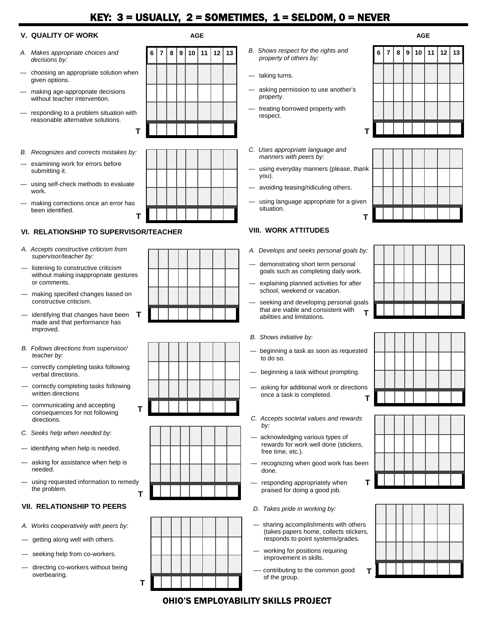# KEY:  $3 =$  USUALLY,  $2 =$  SOMETIMES,  $1 =$  SELDOM,  $0 =$  NEVER

### **V. QUALITY OF WORK AGE AGE**

- *A. Makes appropriate choices and decisions by:*
- choosing an appropriate solution when given options.
- making age-appropriate decisions without teacher intervention.
- responding to a problem situation with reasonable alternative solutions.
- *B. Recognizes and corrects mistakes by:*
- examining work for errors before submitting it.
- using self-check methods to evaluate work.
- making corrections once an error has been identified.

### **VI. RELATIONSHIP TO SUPERVISOR/TEACHER**

**T** 

- *A. Accepts constructive criticism from supervisor/teacher by:*
- listening to constructive criticism without making inappropriate gestures or comments.
- making specified changes based on constructive criticism.
- identifying that changes have been made and that performance has improved.
- *B. Follows directions from supervisor/ teacher by:*
- correctly completing tasks following verbal directions.
- correctly completing tasks following written directions
- communicating and accepting consequences for not following directions.
- *C. Seeks help when needed by:*
- identifying when help is needed.
- asking for assistance when help is needed.
- using requested information to remedy the problem. **T**

#### **VII. RELATIONSHIP TO PEERS**

- *A. Works cooperatively with peers by:*
- getting along well with others.
- seeking help from co-workers.
- directing co-workers without being overbearing.













- **6 7 8 9 10 11 12 13** *B. Shows respect for the rights and property of others by:* 
	- taking turns.
	- asking permission to use another's property.
	- treating borrowed property with respect.
	- *C. Uses appropriate language and manners with peers by:*
	- using everyday manners (please, thank you).
	- avoiding teasing/ridiculing others.
	- using language appropriate for a given situation. **T**

### **VIII. WORK ATTITUDES**

- *A. Develops and seeks personal goals by:*
- demonstrating short term personal goals such as completing daily work.
- explaining planned activities for after school, weekend or vacation.
- seeking and developing personal goals that are viable and consistent with abilities and limitations.

#### *B. Shows initiative by:*

- beginning a task as soon as requested to do so.
- beginning a task without prompting.
- asking for additional work or directions once a task is completed. **T**
- *C. Accepts societal values and rewards by:* 
	- acknowledging various types of rewards for work well done (stickers, free time, etc.).
- recognizing when good work has been done.

**T** 

**T** 

- responding appropriately when praised for doing a good job.
- *D. Takes pride in working by:*
- sharing accomplishments with others (takes papers home, collects stickers, responds to point systems/grades.
- working for positions requiring improvement in skills.
- contributing to the common good of the group.











# *For more information or to obtain electronic copy, contact Sue Beck, sue.beck@mcesc.org*  OHIO'S EMPLOYABILITY SKILLS PROJECT

| ı. |  |  |
|----|--|--|